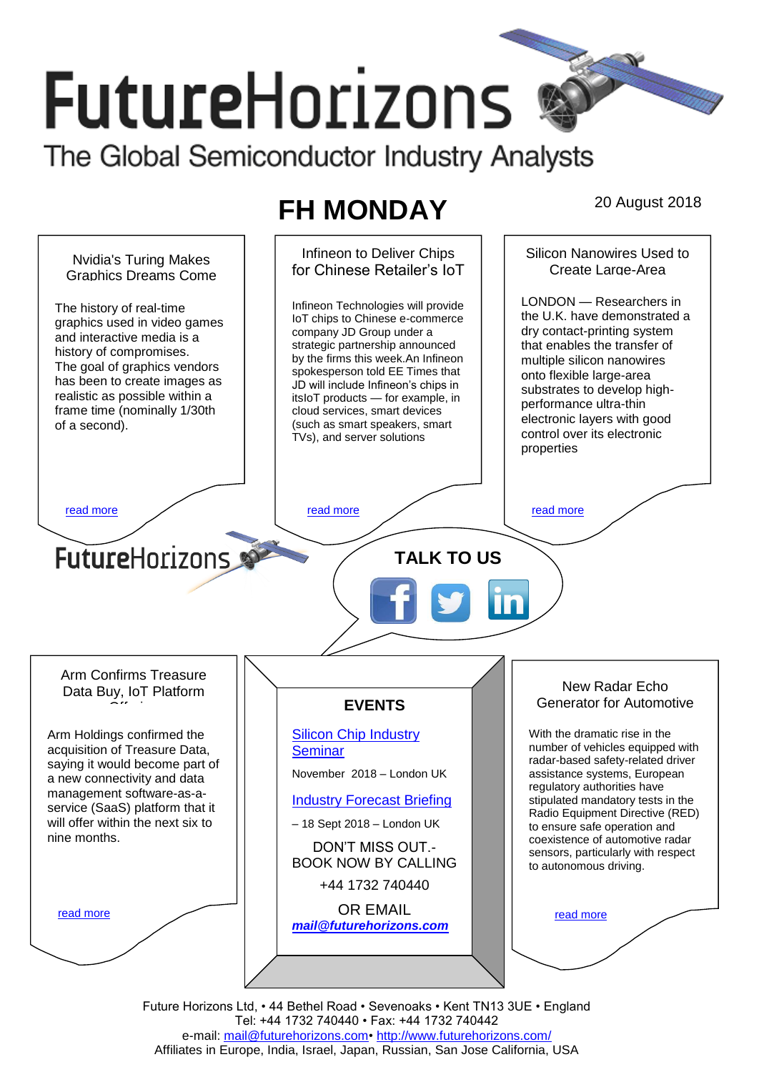# **FutureHorizons** The Global Semiconductor Industry Analysts

## **FH MONDAY** 20 August 2018



Future Horizons Ltd, • 44 Bethel Road • Sevenoaks • Kent TN13 3UE • England Tel: +44 1732 740440 • Fax: +44 1732 740442 e-mail: [mail@futurehorizons.com•](../FH%20Monday%20-%202017/mail@futurehorizons.com)<http://www.futurehorizons.com/> Affiliates in Europe, India, Israel, Japan, Russian, San Jose California, USA